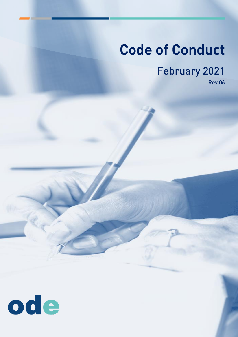# **Code of Conduct**

**February 2021** 

**Rev 06** 

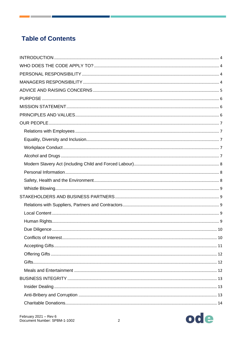# **Table of Contents**

**Contract Contract** 

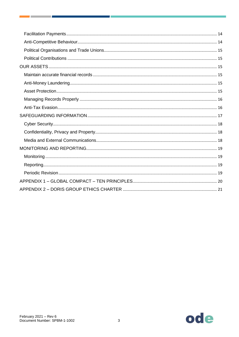**The Committee of the Committee** 

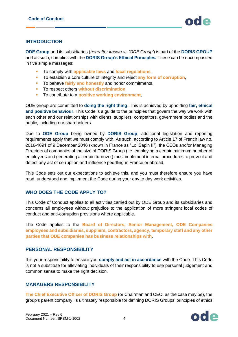#### <span id="page-3-0"></span>**INTRODUCTION**

**ODE Group** and its subsidiaries (*hereafter known as 'ODE Group'*) is part of the **DORIS GROUP** and as such, complies with the **DORIS Group's Ethical Principles.** These can be encompassed in five simple messages:

- To comply with **applicable laws** and **local regulations**,
- To establish a core culture of integrity and reject **any form of corruption**,
- To behave **fairly and honestly** and honor commitments,
- To respect others **without discrimination**,
- To contribute to a **positive working environment**,

ODE Group are committed to **doing the right thing**. This is achieved by upholding **fair, ethical and positive behaviour**. This Code is a guide to the principles that govern the way we work with each other and our relationships with clients, suppliers, competitors, government bodies and the public, including our shareholders.

Due to **ODE Group** being owned by **DORIS Group**, additional legislation and reporting requirements apply that we must comply with. As such, according to Article 17 of French law no. 2016-1691 of 9 December 2016 (known in France as "Loi Sapin II"), the CEOs and/or Managing Directors of companies of the size of DORIS Group (i.e. employing a certain minimum number of employees and generating a certain turnover) must implement internal procedures to prevent and detect any act of corruption and influence peddling in France or abroad.

This Code sets out our expectations to achieve this, and you must therefore ensure you have read, understood and implement the Code during your day to day work activities.

#### <span id="page-3-1"></span>**WHO DOES THE CODE APPLY TO?**

This Code of Conduct applies to all activities carried out by ODE Group and its subsidiaries and concerns all employees without prejudice to the application of more stringent local codes of conduct and anti-corruption provisions where applicable.

The Code applies to the **Board of Directors, Senior Management, ODE Companies employees and subsidiaries, suppliers, contractors, agency, temporary staff and any other parties that ODE companies has business relationships with**.

#### <span id="page-3-2"></span>**PERSONAL RESPONSIBILITY**

It is your responsibility to ensure you **comply and act in accordance** with the Code. This Code is not a substitute for alleviating individuals of their responsibility to use personal judgement and common sense to make the right decision.

#### <span id="page-3-3"></span>**MANAGERS RESPONSIBILITY**

**The Chief Executive Officer of DORIS Group** (or Chairman and CEO, as the case may be), the group's parent company, is ultimately responsible for defining DORIS Groups' principles of ethics

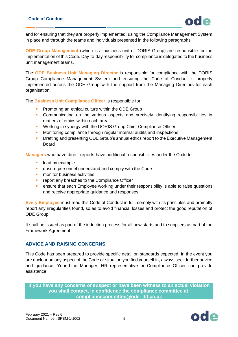

and for ensuring that they are properly implemented, using the Compliance Management System in place and through the teams and individuals presented in the following paragraphs.

**ODE Group Management** (which is a business unit of DORIS Group) are responsible for the implementation of this Code. Day-to-day responsibility for compliance is delegated to the business unit management teams.

The **ODE Business Unit Managing Director** is responsible for compliance with the DORIS Group Compliance Management System and ensuring the Code of Conduct is properly implemented across the ODE Group with the support from the Managing Directors for each organisation.

The **Business Unit Compliance Officer** is responsible for

- Promoting an ethical culture within the ODE Group
- **•** Communicating on the various aspects and precisely identifying responsibilities in matters of ethics within each area
- **Working in synergy with the DORIS Group Chief Compliance Officer**
- **■** Monitoring compliance through regular internal audits and inspections
- **Drafting and presenting ODE Group's annual ethics report to the Executive Management** Board

**Managers** who have direct reports have additional responsibilities under the Code to;

- lead by example
- **EXECTE ENSURIE:** ensure personnel understand and comply with the Code
- **•** monitor business activities
- **•** report any breaches to the Compliance Officer
- **ensure that each Employee working under their responsibility is able to raise questions** and receive appropriate guidance and responses.

**Every Employee** must read this Code of Conduct in full, comply with its principles and promptly report any irregularities found, so as to avoid financial losses and protect the good reputation of ODE Group.

It shall be issued as part of the induction process for all new starts and to suppliers as part of the Framework Agreement.

#### <span id="page-4-0"></span>**ADVICE AND RAISING CONCERNS**

This Code has been prepared to provide specific detail on standards expected. In the event you are unclear on any aspect of the Code or situation you find yourself in, always seek further advice and guidance. Your Line Manager, HR representative or Compliance Officer can provide assistance.

**If you have any concerns of suspect or have been witness to an actual violation you shall contact, in confidence the compliance committee at: [compliancecommittee@ode-](mailto:compliancecommittee@ode-ltd.co.uk) [ltd.co.uk](mailto:compliancecommittee@ode-ltd.co.uk)**

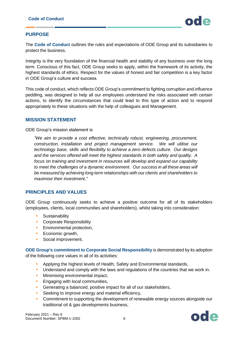#### <span id="page-5-0"></span>**PURPOSE**

The **Code of Conduct** outlines the rules and expectations of ODE Group and its subsidiaries to protect the business.

Integrity is the very foundation of the financial health and stability of any business over the long term. Conscious of this fact, ODE Group seeks to apply, within the framework of its activity, the highest standards of ethics. Respect for the values of honest and fair competition is a key factor in ODE Group's culture and success.

This code of conduct, which reflects ODE Group's commitment to fighting corruption and influence peddling, was designed to help all our employees understand the risks associated with certain actions, to identify the circumstances that could lead to this type of action and to respond appropriately to these situations with the help of colleagues and Management.

#### <span id="page-5-1"></span>**MISSION STATEMENT**

ODE Group's mission statement is

*"We aim to provide a cost effective, technically robust, engineering, procurement, construction, installation and project management service. We will utilise our technology base, skills and flexibility to achieve a zero defects culture. Our designs and the services offered will meet the highest standards in both safety and quality. A focus on training and investment in resources will develop and expand our capability to meet the challenges of a dynamic environment. Our success in all these areas will be measured by achieving long term relationships with our clients and shareholders to maximise their investment."*

#### <span id="page-5-2"></span>**PRINCIPLES AND VALUES**

ODE Group continuously seeks to achieve a positive outcome for all of its stakeholders (employees, clients, local communities and shareholders), whilst taking into consideration:

- Sustainability
- Corporate Responsibility
- **Environmental protection,**
- **Economic growth,**
- **•** Social improvement.

**ODE Group's commitment to Corporate Social Responsibility** is demonstrated by its adoption of the following core values in all of its activities:

- Applying the highest levels of Health, Safety and Environmental standards,
- **•** Understand and comply with the laws and regulations of the countries that we work in.
- **■** Minimising environmental impact,
- **Engaging with local communities,**
- Generating a balanced, positive impact for all of our stakeholders,
- **EXEC** Seeking to improve energy and material efficiency,
- **Commitment to supporting the development of renewable energy sources alongside our** traditional oil & gas developments business,

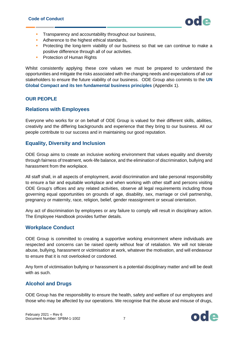

- **EXECO** Transparency and accountability throughout our business,
- Adherence to the highest ethical standards,
- **•** Protecting the long-term viability of our business so that we can continue to make a positive difference through all of our activities.
- **Protection of Human Rights**

Whilst consistently applying these core values we must be prepared to understand the opportunities and mitigate the risks associated with the changing needs and expectations of all our stakeholders to ensure the future viability of our business. ODE Group also commits to the **UN Global Compact and its ten fundamental business principles** (Appendix 1).

#### <span id="page-6-0"></span>**OUR PEOPLE**

#### <span id="page-6-1"></span>**Relations with Employees**

Everyone who works for or on behalf of ODE Group is valued for their different skills, abilities, creativity and the differing backgrounds and experience that they bring to our business. All our people contribute to our success and in maintaining our good reputation.

#### <span id="page-6-2"></span>**Equality, Diversity and Inclusion**

ODE Group aims to create an inclusive working environment that values equality and diversity through fairness of treatment, work-life balance, and the elimination of discrimination, bullying and harassment from the workplace.

All staff shall, in all aspects of employment, avoid discrimination and take personal responsibility to ensure a fair and equitable workplace and when working with other staff and persons visiting ODE Group's offices and any related activities, observe all legal requirements including those governing equal opportunities on grounds of age, disability, sex, marriage or civil partnership, pregnancy or maternity, race, religion, belief, gender reassignment or sexual orientation.

Any act of discrimination by employees or any failure to comply will result in disciplinary action. The Employee Handbook provides further details.

#### <span id="page-6-3"></span>**Workplace Conduct**

ODE Group is committed to creating a supportive working environment where individuals are respected and concerns can be raised openly without fear of retaliation. We will not tolerate abuse, bullying, harassment or victimisation at work, whatever the motivation, and will endeavour to ensure that it is not overlooked or condoned.

Any form of victimisation bullying or harassment is a potential disciplinary matter and will be dealt with as such.

## <span id="page-6-4"></span>**Alcohol and Drugs**

ODE Group has the responsibility to ensure the health, safety and welfare of our employees and those who may be affected by our operations. We recognise that the abuse and misuse of drugs,

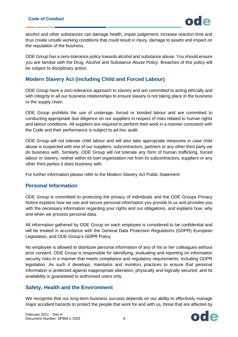alcohol and other substances can damage health, impair judgement, increase reaction time and thus create unsafe working conditions that could result in injury, damage to assets and impact on the reputation of the business.

ODE Group has a zero-tolerance policy towards alcohol and substance abuse. You should ensure you are familiar with the Drug, Alcohol and Substance Abuse Policy. Breaches of this policy will be subject to disciplinary action.

## <span id="page-7-0"></span>**Modern Slavery Act (including Child and Forced Labour)**

ODE Group have a zero-tolerance approach to slavery and are committed to acting ethically and with integrity in all our business relationships to ensure slavery is not taking place in the business or the supply chain.

ODE Group prohibits the use of underage, forced or bonded labour and are committed to conducting appropriate due diligence on our suppliers in respect of risks related to human rights and labour conditions. All suppliers are required to perform their work in a manner consistent with the Code and their performance is subject to ad-hoc audit.

ODE Group will not tolerate child labour and will also take appropriate measures in case child abuse is suspected with one of our suppliers, subcontractors, partners or any other third party we do business with. Similarly, ODE Group will not tolerate any form of human trafficking, forced labour or slavery, neither within its own organisation nor from its subcontractors, suppliers or any other third parties it does business with.

For further information please refer to the Modern Slavery Act Public Statement.

#### <span id="page-7-1"></span>**Personal Information**

ODE Group is committed to protecting the privacy of individuals and the ODE Groups Privacy Notice explains how we use and secure personal information you provide to us and provides you with the necessary information regarding your rights and our obligations, and explains how, why and when we process personal data.

All information gathered by ODE Group on each employee is considered to be confidential and will be treated in accordance with the General Data Protection Regulations (GDPR) European Legislation, and ODE Group's GDPR Policy.

No employee is allowed to distribute personal information of any of his or her colleagues without prior consent. ODE Group is responsible for identifying, evaluating and reporting on information security risks in a manner that meets compliance and regulatory requirements, including GDPR legislation. As such it develops, maintains and monitors practices to ensure that personal information is protected against inappropriate alteration, physically and logically secured, and its availability is guaranteed to authorised users only.

## <span id="page-7-2"></span>**Safety, Health and the Environment**

We recognise that our long-term business success depends on our ability to effectively manage major accident hazards to protect the people that work for and with us, those that are affected by

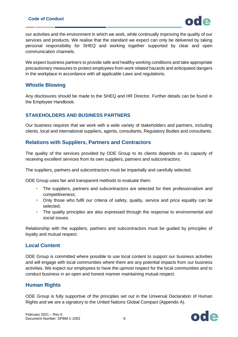

our activities and the environment in which we work, while continually improving the quality of our services and products. We realise that the standard we expect can only be delivered by taking personal responsibility for SHEQ and working together supported by clear and open communication channels.

We expect business partners to provide safe and healthy working conditions and take appropriate precautionary measures to protect employees from work related hazards and anticipated dangers in the workplace in accordance with all applicable Laws and regulations.

#### <span id="page-8-0"></span>**Whistle Blowing**

Any disclosures should be made to the SHEQ and HR Director. Further details can be found in the Employee Handbook.

#### <span id="page-8-1"></span>**STAKEHOLDERS AND BUSINESS PARTNERS**

Our business requires that we work with a wide variety of stakeholders and partners, including clients, local and international suppliers, agents, consultants, Regulatory Bodies and consultants.

#### <span id="page-8-2"></span>**Relations with Suppliers, Partners and Contractors**

The quality of the services provided by ODE Group to its clients depends on its capacity of receiving excellent services from its own suppliers, partners and subcontractors.

The suppliers, partners and subcontractors must be impartially and carefully selected.

ODE Group uses fair and transparent methods to evaluate them:

- **•** The suppliers, partners and subcontractors are selected for their professionalism and competitiveness;
- **•** Only those who fulfil our criteria of safety, quality, service and price equality can be selected;
- **•** The quality principles are also expressed through the response to environmental and social issues.

Relationship with the suppliers, partners and subcontractors must be guided by principles of loyalty and mutual respect.

#### <span id="page-8-3"></span>**Local Content**

ODE Group is committed where possible to use local content to support our business activities and will engage with local communities where there are any potential impacts from our business activities. We expect our employees to have the upmost respect for the local communities and to conduct business in an open and honest manner maintaining mutual respect.

#### <span id="page-8-4"></span>**Human Rights**

ODE Group is fully supportive of the principles set out in the Universal Declaration of Human Rights and we are a signatory to the United Nations Global Compact (Appendix A).

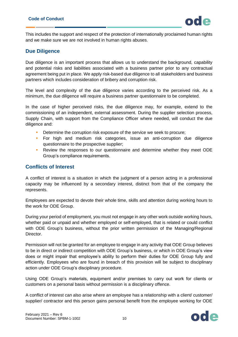This includes the support and respect of the protection of internationally proclaimed human rights and we make sure we are not involved in human rights abuses.

#### <span id="page-9-0"></span>**Due Diligence**

Due diligence is an important process that allows us to understand the background, capability and potential risks and liabilities associated with a business partner prior to any contractual agreement being put in place. We apply risk-based due diligence to all stakeholders and business partners which includes consideration of bribery and corruption risk.

The level and complexity of the due diligence varies according to the perceived risk. As a minimum, the due diligence will require a business partner questionnaire to be completed.

In the case of higher perceived risks, the due diligence may, for example, extend to the commissioning of an independent, external assessment. During the supplier selection process, Supply Chain, with support from the Compliance Officer where needed, will conduct the due diligence and:

- **•** Determine the corruption risk exposure of the service we seek to procure;
- For high and medium risk categories, issue an anti-corruption due diligence questionnaire to the prospective supplier;
- **Review the responses to our questionnaire and determine whether they meet ODE** Group's compliance requirements.

#### <span id="page-9-1"></span>**Conflicts of Interest**

A conflict of interest is a situation in which the judgment of a person acting in a professional capacity may be influenced by a secondary interest, distinct from that of the company the represents.

Employees are expected to devote their whole time, skills and attention during working hours to the work for ODE Group.

During your period of employment, you must not engage in any other work outside working hours, whether paid or unpaid and whether employed or self-employed, that is related or could conflict with ODE Group's business, without the prior written permission of the Managing/Regional Director.

Permission will not be granted for an employee to engage in any activity that ODE Group believes to be in direct or indirect competition with ODE Group's business, or which in ODE Group's view does or might impair that employee's ability to perform their duties for ODE Group fully and efficiently. Employees who are found in breach of this provision will be subject to disciplinary action under ODE Group's disciplinary procedure.

Using ODE Group's materials, equipment and/or premises to carry out work for clients or customers on a personal basis without permission is a disciplinary offence.

A conflict of interest can also arise where an employee has a relationship with a client/ customer/ supplier/ contractor and this person gains personal benefit from the employee working for ODE

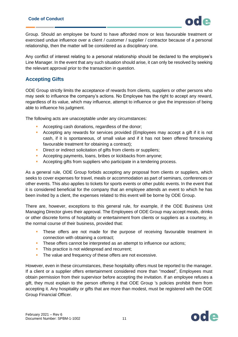

Group. Should an employee be found to have afforded more or less favourable treatment or exercised undue influence over a client / customer / supplier / contractor because of a personal relationship, then the matter will be considered as a disciplinary one.

Any conflict of interest relating to a personal relationship should be declared to the employee's Line Manager. In the event that any such situation should arise, it can only be resolved by seeking the relevant approval prior to the transaction in question.

#### <span id="page-10-0"></span>**Accepting Gifts**

ODE Group strictly limits the acceptance of rewards from clients, suppliers or other persons who may seek to influence the company's actions. No Employee has the right to accept any reward, regardless of its value, which may influence, attempt to influence or give the impression of being able to influence his judgment.

The following acts are unacceptable under any circumstances:

- Accepting cash donations, regardless of the donor;
- **•** Accepting any rewards for services provided (Employees may accept a gift if it is not cash, if it is spontaneous, of small value and if it has not been offered forreceiving favourable treatment for obtaining a contract);
- **EXECT:** Direct or indirect solicitation of gifts from clients or suppliers;
- **EXEC** Accepting payments, loans, bribes or kickbacks from anyone;
- Accepting gifts from suppliers who participate in a tendering process.

As a general rule, ODE Group forbids accepting any proposal from clients or suppliers, which seeks to cover expenses for travel, meals or accommodation as part of seminars, conferences or other events. This also applies to tickets for sports events or other public events. In the event that it is considered beneficial for the company that an employee attends an event to which he has been invited by a client, the expenses related to this event will be borne by ODE Group.

There are, however, exceptions to this general rule, for example, if the ODE Business Unit Managing Director gives their approval. The Employees of ODE Group may accept meals, drinks or other discrete forms of hospitality or entertainment from clients or suppliers as a courtesy, in the normal course of their business, provided that:

- **•** These offers are not made for the purpose of receiving favourable treatment in connection with obtaining a contract;
- **•** These offers cannot be interpreted as an attempt to influence our actions;
- **·** This practice is not widespread and recurrent;
- **·** The value and frequency of these offers are not excessive.

However, even in these circumstances, these hospitality offers must be reported to the manager. If a client or a supplier offers entertainment considered more than "modest", Employees must obtain permission from their supervisor before accepting the invitation. If an employee refuses a gift, they must explain to the person offering it that ODE Group 's policies prohibit them from accepting it. Any hospitality or gifts that are more than modest, must be registered with the ODE Group Financial Officer.

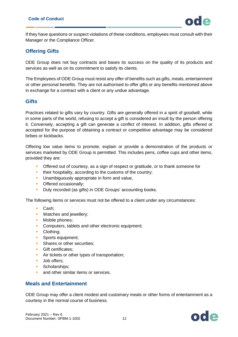If they have questions or suspect violations of these conditions, employees must consult with their Manager or the Compliance Officer.

#### <span id="page-11-0"></span>**Offering Gifts**

ODE Group does not buy contracts and bases its success on the quality of its products and services as well as on its commitment to satisfy its clients.

The Employees of ODE Group must resist any offer of benefits such as gifts, meals, entertainment or other personal benefits. They are not authorised to offer gifts or any benefits mentioned above in exchange for a contract with a client or any undue advantage.

#### <span id="page-11-1"></span>**Gifts**

Practices related to gifts vary by country. Gifts are generally offered in a spirit of goodwill, while in some parts of the world, refusing to accept a gift is considered an insult by the person offering it. Conversely, accepting a gift can generate a conflict of interest. In addition, gifts offered or accepted for the purpose of obtaining a contract or competitive advantage may be considered bribes or kickbacks.

Offering low value items to promote, explain or provide a demonstration of the products or services marketed by ODE Group is permitted. This includes pens, coffee cups and other items, provided they are:

- **•** Offered out of courtesy, as a sign of respect or gratitude, or to thank someone for
- **•** their hospitality, according to the customs of the country;
- **Unambiguously appropriate in form and value,**
- **•** Offered occasionally;
- Duly recorded (as gifts) in ODE Groups' accounting books.

The following items or services must not be offered to a client under any circumstances:

- Cash;
- **Watches and jewellery;**
- Mobile phones;
- **Computers, tablets and other electronic equipment;**
- Clothing;
- **Sports equipment;**
- **•** Shares or other securities;
- **•** Gift certificates;
- **EXECUTE:** Air tickets or other types of transportation;
- Job offers:
- Scholarships;
- **and other similar items or services.**

#### <span id="page-11-2"></span>**Meals and Entertainment**

ODE Group may offer a client modest and customary meals or other forms of entertainment as a courtesy in the normal course of business.

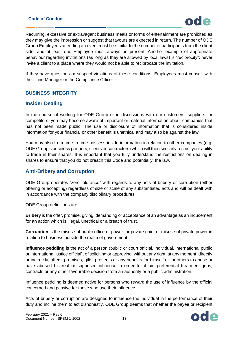#### **Code of Conduct**



Recurring, excessive or extravagant business meals or forms of entertainment are prohibited as they may give the impression or suggest that favours are expected in return. The number of ODE Group Employees attending an event must be similar to the number of participants from the client side, and at least one Employee must always be present. Another example of appropriate behaviour regarding invitations (as long as they are allowed by local laws) is "reciprocity": never invite a client to a place where they would not be able to reciprocate the invitation.

If they have questions or suspect violations of these conditions, Employees must consult with their Line Manager or the Compliance Officer.

#### <span id="page-12-0"></span>**BUSINESS INTEGRITY**

#### <span id="page-12-1"></span>**Insider Dealing**

In the course of working for ODE Group or in discussions with our customers, suppliers, or competitors, you may become aware of important or material information about companies that has not been made public. The use or disclosure of information that is considered inside information for your financial or other benefit is unethical and may also be against the law.

You may also from time to time possess inside information in relation to other companies (e.g. ODE Group's business partners, clients or contractors) which will then similarly restrict your ability to trade in their shares. It is important that you fully understand the restrictions on dealing in shares to ensure that you do not breach this Code and potentially, the law.

#### <span id="page-12-2"></span>**Anti-Bribery and Corruption**

ODE Group operates "zero tolerance" with regards to any acts of bribery or corruption (either offering or accepting) regardless of size or scale of any substantiated acts and will be dealt with in accordance with the company disciplinary procedures.

ODE Group definitions are;

**Bribery** is the offer, promise, giving, demanding or acceptance of an advantage as an inducement for an action which is illegal, unethical or a breach of trust.

**Corruption** is the misuse of public office or power for private gain; or misuse of private power in relation to business outside the realm of government.

**Influence peddling** is the act of a person (public or court official, individual, international public or international justice official), of soliciting or approving, without any right, at any moment, directly or indirectly, offers, promises, gifts, presents or any benefits for himself or for others to abuse or have abused his real or supposed influence in order to obtain preferential treatment, jobs, contracts or any other favourable decision from an authority or a public administration.

Influence peddling is deemed active for persons who reward the use of influence by the official concerned and passive for those who use their influence.

Acts of bribery or corruption are designed to influence the individual in the performance of their duty and incline them to act dishonestly. ODE Group deems that whether the payee or recipient

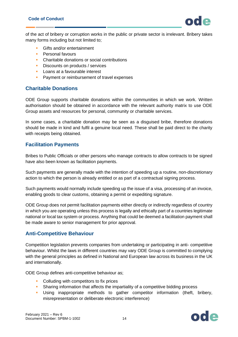

of the act of bribery or corruption works in the public or private sector is irrelevant. Bribery takes many forms including but not limited to;

- Gifts and/or entertainment
- **•** Personal favours
- Charitable donations or social contributions
- **E** Discounts on products / services
- Loans at a favourable interest
- **Payment or reimbursement of travel expenses**

#### <span id="page-13-0"></span>**Charitable Donations**

ODE Group supports charitable donations within the communities in which we work. Written authorisation should be obtained in accordance with the relevant authority matrix to use ODE Group assets and resources for personal, community or charitable services.

In some cases, a charitable donation may be seen as a disguised bribe, therefore donations should be made in kind and fulfil a genuine local need. These shall be paid direct to the charity with receipts being obtained.

#### <span id="page-13-1"></span>**Facilitation Payments**

Bribes to Public Officials or other persons who manage contracts to allow contracts to be signed have also been known as facilitation payments.

Such payments are generally made with the intention of speeding up a routine, non-discretionary action to which the person is already entitled or as part of a contractual signing process.

Such payments would normally include speeding up the issue of a visa, processing of an invoice, enabling goods to clear customs, obtaining a permit or expediting signature.

ODE Group does not permit facilitation payments either directly or indirectly regardless of country in which you are operating unless this process is legally and ethically part of a countries legitimate national or local tax system or process. Anything that could be deemed a facilitation payment shall be made aware to senior management for prior approval.

#### <span id="page-13-2"></span>**Anti-Competitive Behaviour**

Competition legislation prevents companies from undertaking or participating in anti- competitive behaviour. Whilst the laws in different countries may vary ODE Group is committed to complying with the general principles as defined in National and European law across its business in the UK and internationally.

ODE Group defines anti-competitive behaviour as;

- **•** Colluding with competitors to fix prices
- **•** Sharing information that affects the impartiality of a competitive bidding process
- **E** Using inappropriate methods to gather competitor information (theft, bribery, misrepresentation or deliberate electronic interference)

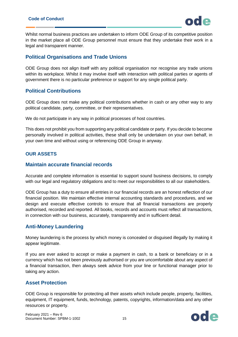

Whilst normal business practices are undertaken to inform ODE Group of its competitive position in the market place all ODE Group personnel must ensure that they undertake their work in a legal and transparent manner.

#### <span id="page-14-0"></span>**Political Organisations and Trade Unions**

ODE Group does not align itself with any political organisation nor recognise any trade unions within its workplace. Whilst it may involve itself with interaction with political parties or agents of government there is no particular preference or support for any single political party.

#### <span id="page-14-1"></span>**Political Contributions**

ODE Group does not make any political contributions whether in cash or any other way to any political candidate, party, committee, or their representatives.

We do not participate in any way in political processes of host countries.

This does not prohibit you from supporting any political candidate or party. If you decide to become personally involved in political activities, these shall only be undertaken on your own behalf, in your own time and without using or referencing ODE Group in anyway.

#### <span id="page-14-2"></span>**OUR ASSETS**

#### <span id="page-14-3"></span>**Maintain accurate financial records**

Accurate and complete information is essential to support sound business decisions, to comply with our legal and regulatory obligations and to meet our responsibilities to all our stakeholders.

ODE Group has a duty to ensure all entries in our financial records are an honest reflection of our financial position. We maintain effective internal accounting standards and procedures, and we design and execute effective controls to ensure that all financial transactions are properly authorised, recorded and reported. All books, records and accounts must reflect all transactions, in connection with our business, accurately, transparently and in sufficient detail.

#### <span id="page-14-4"></span>**Anti-Money Laundering**

Money laundering is the process by which money is concealed or disguised illegally by making it appear legitimate.

If you are ever asked to accept or make a payment in cash, to a bank or beneficiary or in a currency which has not been previously authorised or you are uncomfortable about any aspect of a financial transaction, then always seek advice from your line or functional manager prior to taking any action.

#### <span id="page-14-5"></span>**Asset Protection**

ODE Group is responsible for protecting all their assets which include people, property, facilities, equipment, IT equipment, funds, technology, patents, copyrights, information/data and any other resources or property.

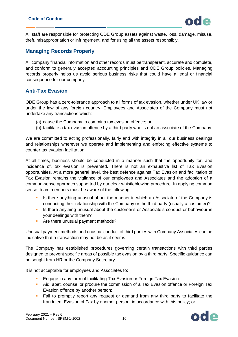All staff are responsible for protecting ODE Group assets against waste, loss, damage, misuse, theft, misappropriation or infringement, and for using all the assets responsibly.

#### <span id="page-15-0"></span>**Managing Records Properly**

All company financial information and other records must be transparent, accurate and complete, and conform to generally accepted accounting principles and ODE Group policies. Managing records properly helps us avoid serious business risks that could have a legal or financial consequence for our company.

#### <span id="page-15-1"></span>**Anti-Tax Evasion**

ODE Group has a zero-tolerance approach to all forms of tax evasion, whether under UK law or under the law of any foreign country. Employees and Associates of the Company must not undertake any transactions which:

- (a) cause the Company to commit a tax evasion offence; or
- (b) facilitate a tax evasion offence by a third party who is not an associate of the Company.

We are committed to acting professionally, fairly and with integrity in all our business dealings and relationships wherever we operate and implementing and enforcing effective systems to counter tax evasion facilitation.

At all times, business should be conducted in a manner such that the opportunity for, and incidence of, tax evasion is prevented. There is not an exhaustive list of Tax Evasion opportunities. At a more general level, the best defence against Tax Evasion and facilitation of Tax Evasion remains the vigilance of our employees and Associates and the adoption of a common-sense approach supported by our clear whistleblowing procedure. In applying common sense, team members must be aware of the following:

- Is there anything unusual about the manner in which an Associate of the Company is conducting their relationship with the Company or the third party (usually a customer)?
- **EXECT** Is there anything unusual about the customer's or Associate's conduct or behaviour in your dealings with them?
- Are there unusual payment methods?

Unusual payment methods and unusual conduct of third parties with Company Associates can be indicative that a transaction may not be as it seems

The Company has established procedures governing certain transactions with third parties designed to prevent specific areas of possible tax evasion by a third party. Specific guidance can be sought from HR or the Company Secretary.

It is not acceptable for employees and Associates to:

- **Engage in any form of facilitating Tax Evasion or Foreign Tax Evasion**
- **Aid, abet, counsel or procure the commission of a Tax Evasion offence or Foreign Tax** Evasion offence by another person;
- Fail to promptly report any request or demand from any third party to facilitate the fraudulent Evasion of Tax by another person, in accordance with this policy; or

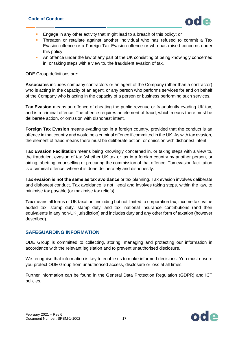- **Engage in any other activity that might lead to a breach of this policy; or**
- **•** Threaten or retaliate against another individual who has refused to commit a Tax Evasion offence or a Foreign Tax Evasion offence or who has raised concerns under this policy
- **An offence under the law of any part of the UK consisting of being knowingly concerned** in, or taking steps with a view to, the fraudulent evasion of tax.

ODE Group definitions are:

**Associates** includes company contractors or an agent of the Company (other than a contractor) who is acting in the capacity of an agent, or any person who performs services for and on behalf of the Company who is acting in the capacity of a person or business performing such services.

**Tax Evasion** means an offence of cheating the public revenue or fraudulently evading UK tax, and is a criminal offence. The offence requires an element of fraud, which means there must be deliberate action, or omission with dishonest intent.

**Foreign Tax Evasion** means evading tax in a foreign country, provided that the conduct is an offence in that country and would be a criminal offence if committed in the UK. As with tax evasion, the element of fraud means there must be deliberate action, or omission with dishonest intent.

**Tax Evasion Facilitation** means being knowingly concerned in, or taking steps with a view to, the fraudulent evasion of tax (whether UK tax or tax in a foreign country by another person, or aiding, abetting, counselling or procuring the commission of that offence. Tax evasion facilitation is a criminal offence, where it is done deliberately and dishonestly.

**Tax evasion is not the same as tax avoidance** or tax planning. Tax evasion involves deliberate and dishonest conduct. Tax avoidance is not illegal and involves taking steps, within the law, to minimise tax payable (or maximise tax reliefs).

**Tax** means all forms of UK taxation, including but not limited to corporation tax, income tax, value added tax, stamp duty, stamp duty land tax, national insurance contributions (and their equivalents in any non-UK jurisdiction) and includes duty and any other form of taxation (however described).

#### <span id="page-16-0"></span>**SAFEGUARDING INFORMATION**

ODE Group is committed to collecting, storing, managing and protecting our information in accordance with the relevant legislation and to prevent unauthorised disclosure.

We recognise that information is key to enable us to make informed decisions. You must ensure you protect ODE Group from unauthorised access, disclosure or loss at all times.

Further information can be found in the General Data Protection Regulation (GDPR) and ICT policies.

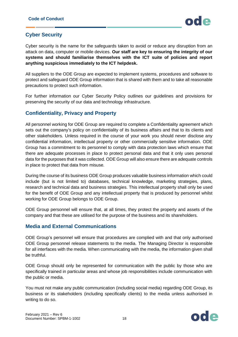## <span id="page-17-0"></span>**Cyber Security**

Cyber security is the name for the safeguards taken to avoid or reduce any disruption from an attack on data, computer or mobile devices. **Our staff are key to ensuring the integrity of our systems and should familiarise themselves with the ICT suite of policies and report anything suspicious immediately to the ICT helpdesk.**

All suppliers to the ODE Group are expected to implement systems, procedures and software to protect and safeguard ODE Group information that is shared with them and to take all reasonable precautions to protect such information.

For further information our Cyber Security Policy outlines our guidelines and provisions for preserving the security of our data and technology infrastructure.

#### <span id="page-17-1"></span>**Confidentiality, Privacy and Property**

All personnel working for ODE Group are required to complete a Confidentiality agreement which sets out the company's policy on confidentiality of its business affairs and that to its clients and other stakeholders. Unless required in the course of your work you should never disclose any confidential information, intellectual property or other commercially sensitive information. ODE Group has a commitment to its personnel to comply with data protection laws which ensure that there are adequate processes in place to protect personal data and that it only uses personal data for the purposes that it was collected. ODE Group will also ensure there are adequate controls in place to protect that data from misuse.

During the course of its business ODE Group produces valuable business information which could include (but is not limited to) databases, technical knowledge, marketing strategies, plans, research and technical data and business strategies. This intellectual property shall only be used for the benefit of ODE Group and any intellectual property that is produced by personnel whilst working for ODE Group belongs to ODE Group.

ODE Group personnel will ensure that, at all times, they protect the property and assets of the company and that these are utilised for the purpose of the business and its shareholders.

#### <span id="page-17-2"></span>**Media and External Communications**

ODE Group's personnel will ensure that procedures are complied with and that only authorised ODE Group personnel release statements to the media. The Managing Director is responsible for all interfaces with the media. When communicating with the media, the information given shall be truthful.

ODE Group should only be represented for communication with the public by those who are specifically trained in particular areas and whose job responsibilities include communication with the public or media.

You must not make any public communication (including social media) regarding ODE Group, its business or its stakeholders (including specifically clients) to the media unless authorised in writing to do so.

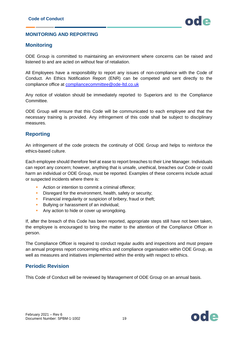#### <span id="page-18-0"></span>**MONITORING AND REPORTING**

#### <span id="page-18-1"></span>**Monitoring**

ODE Group is committed to maintaining an environment where concerns can be raised and listened to and are acted on without fear of retaliation.

All Employees have a responsibility to report any issues of non-compliance with the Code of Conduct. An Ethics Notification Report (ENR) can be competed and sent directly to the compliance office at [compliancecommittee@ode-ltd.co.uk](mailto:compliancecommittee@ode-ltd.co.uk)

Any notice of violation should be immediately reported to Superiors and to the Compliance Committee.

ODE Group will ensure that this Code will be communicated to each employee and that the necessary training is provided. Any infringement of this code shall be subject to disciplinary measures.

#### <span id="page-18-2"></span>**Reporting**

An infringement of the code protects the continuity of ODE Group and helps to reinforce the ethics-based culture.

Each employee should therefore feel at ease to report breaches to their Line Manager. Individuals can report any concern; however, anything that is unsafe, unethical, breaches our Code or could harm an individual or ODE Group, must be reported. Examples of these concerns include actual or suspected incidents where there is:

- Action or intention to commit a criminal offence;
- **EXECT** Disregard for the environment, health, safety or security;
- **EXECTE:** Financial irregularity or suspicion of bribery, fraud or theft;
- **EXECUTE:** Bullying or harassment of an individual;
- **EXECT** Any action to hide or cover up wrongdoing.

If, after the breach of this Code has been reported, appropriate steps still have not been taken, the employee is encouraged to bring the matter to the attention of the Compliance Officer in person.

The Compliance Officer is required to conduct regular audits and inspections and must prepare an annual progress report concerning ethics and compliance organisation within ODE Group, as well as measures and initiatives implemented within the entity with respect to ethics.

#### <span id="page-18-3"></span>**Periodic Revision**

This Code of Conduct will be reviewed by Management of ODE Group on an annual basis.

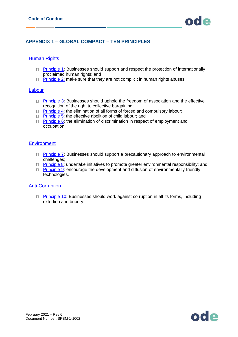

#### <span id="page-19-0"></span>**APPENDIX 1 – GLOBAL COMPACT – TEN PRINCIPLES**

#### **[Human Rights](http://www.unglobalcompact.org/aboutthegc/thetenprinciples/humanRights.html)**

- $\Box$  [Principle 1:](http://www.unglobalcompact.org/aboutthegc/thetenprinciples/principle1.html) Businesses should support and respect the protection of internationally proclaimed human rights; and
- $\Box$  [Principle 2:](http://www.unglobalcompact.org/aboutthegc/thetenprinciples/Principle2.html) make sure that they are not complicit in human rights abuses.

#### [Labour](http://www.unglobalcompact.org/aboutthegc/thetenprinciples/labour.html)

- □ [Principle 3:](http://www.unglobalcompact.org/aboutthegc/thetenprinciples/principle3.html) Businesses should uphold the freedom of association and the effective recognition of the right to collective bargaining;
- $\Box$  [Principle 4:](http://www.unglobalcompact.org/aboutthegc/thetenprinciples/Principle4.html) the elimination of all forms of forced and compulsory labour;
- □ [Principle 5:](http://www.unglobalcompact.org/aboutthegc/thetenprinciples/principle5.html) the effective abolition of child labour; and
- $\Box$  [Principle 6:](http://www.unglobalcompact.org/aboutthegc/thetenprinciples/principle6.html) the elimination of discrimination in respect of employment and occupation.

#### **[Environment](http://www.unglobalcompact.org/aboutthegc/thetenprinciples/environment.html)**

- $\Box$  [Principle 7:](http://www.unglobalcompact.org/aboutthegc/thetenprinciples/principle7.html) Businesses should support a precautionary approach to environmental challenges;
- $\Box$  [Principle 8:](http://www.unglobalcompact.org/aboutthegc/thetenprinciples/principle8.html) undertake initiatives to promote greater environmental responsibility; and
- $\Box$  [Principle 9:](http://www.unglobalcompact.org/aboutthegc/thetenprinciples/principle9.html) encourage the development and diffusion of environmentally friendly technologies.

#### [Anti-Corruption](http://www.unglobalcompact.org/aboutthegc/thetenprinciples/anti-corruption.html)

□ [Principle 10:](http://www.unglobalcompact.org/aboutthegc/thetenprinciples/principle10.html) Businesses should work against corruption in all its forms, including extortion and bribery.